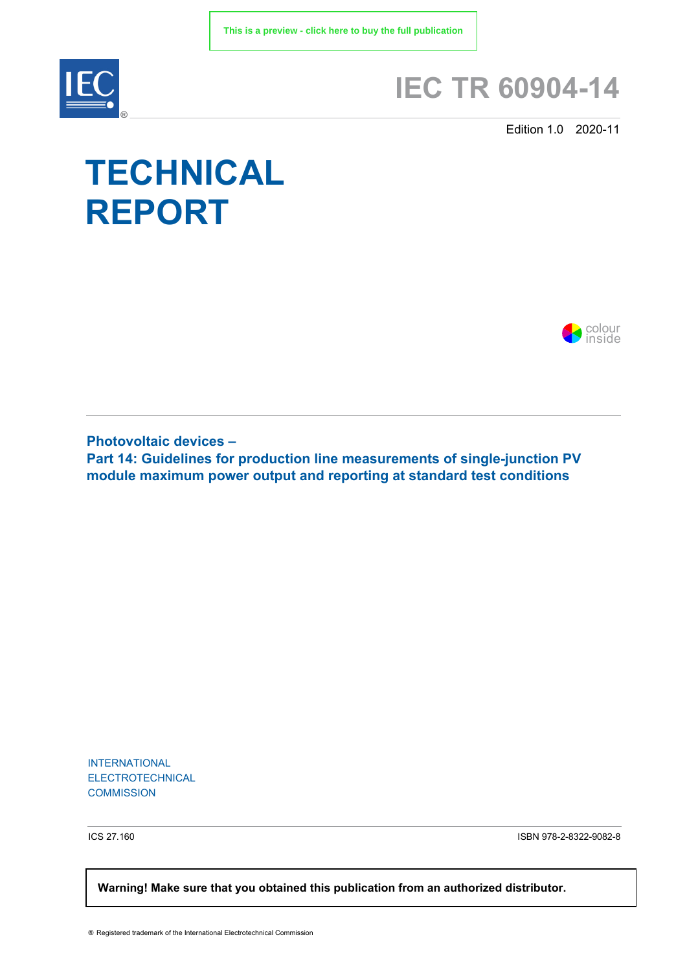

# **IEC TR 60904-14**

Edition 1.0 2020-11

# **TECHNICAL REPORT**



**Photovoltaic devices – Part 14: Guidelines for production line measurements of single-junction PV module maximum power output and reporting at standard test conditions**

INTERNATIONAL ELECTROTECHNICAL **COMMISSION** 

ICS 27.160 ISBN 978-2-8322-9082-8

 **Warning! Make sure that you obtained this publication from an authorized distributor.**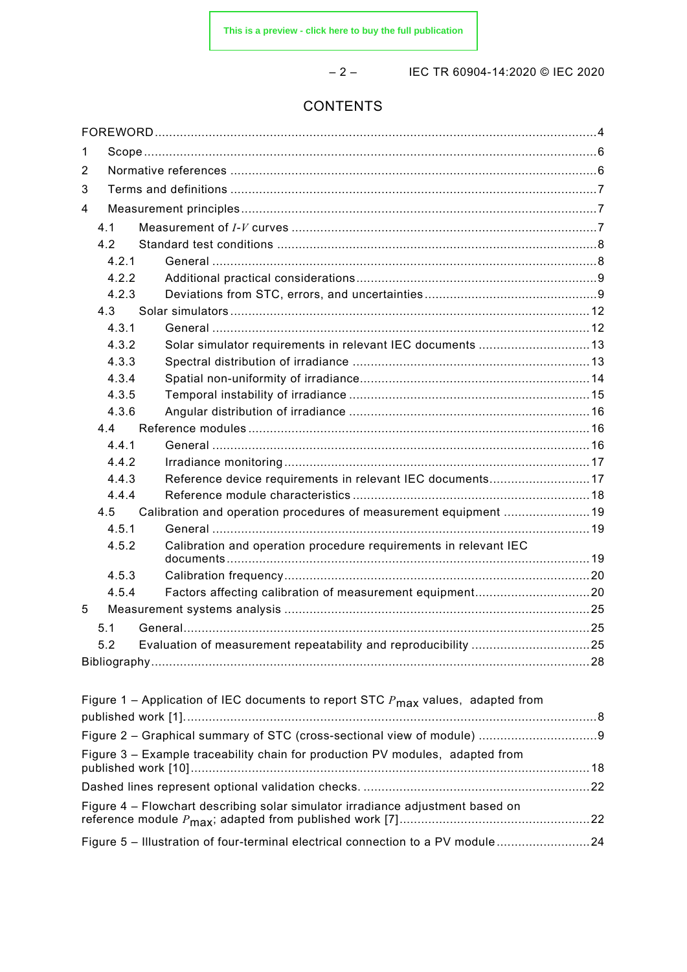– 2 – IEC TR 60904-14:2020 © IEC 2020

# CONTENTS

| 1                                                                              |                                                                               |                                                                                             |  |  |  |  |
|--------------------------------------------------------------------------------|-------------------------------------------------------------------------------|---------------------------------------------------------------------------------------------|--|--|--|--|
| 2                                                                              |                                                                               |                                                                                             |  |  |  |  |
| 3                                                                              |                                                                               |                                                                                             |  |  |  |  |
| 4                                                                              |                                                                               |                                                                                             |  |  |  |  |
|                                                                                | 4.1                                                                           |                                                                                             |  |  |  |  |
|                                                                                | 4.2                                                                           |                                                                                             |  |  |  |  |
|                                                                                | 4.2.1                                                                         |                                                                                             |  |  |  |  |
|                                                                                | 4.2.2                                                                         |                                                                                             |  |  |  |  |
|                                                                                | 4.2.3                                                                         |                                                                                             |  |  |  |  |
|                                                                                | 4.3                                                                           |                                                                                             |  |  |  |  |
|                                                                                | 4.3.1                                                                         |                                                                                             |  |  |  |  |
|                                                                                | 4.3.2                                                                         | Solar simulator requirements in relevant IEC documents 13                                   |  |  |  |  |
|                                                                                | 4.3.3                                                                         |                                                                                             |  |  |  |  |
|                                                                                | 4.3.4                                                                         |                                                                                             |  |  |  |  |
|                                                                                | 4.3.5                                                                         |                                                                                             |  |  |  |  |
|                                                                                | 4.3.6                                                                         |                                                                                             |  |  |  |  |
|                                                                                | 4.4                                                                           |                                                                                             |  |  |  |  |
|                                                                                | 4.4.1                                                                         |                                                                                             |  |  |  |  |
|                                                                                | 4.4.2                                                                         |                                                                                             |  |  |  |  |
|                                                                                | 4.4.3                                                                         | Reference device requirements in relevant IEC documents17                                   |  |  |  |  |
|                                                                                | 4.4.4                                                                         |                                                                                             |  |  |  |  |
|                                                                                | 4.5                                                                           | Calibration and operation procedures of measurement equipment 19                            |  |  |  |  |
|                                                                                | 4.5.1                                                                         |                                                                                             |  |  |  |  |
|                                                                                | 4.5.2                                                                         | Calibration and operation procedure requirements in relevant IEC                            |  |  |  |  |
|                                                                                | 4.5.3                                                                         |                                                                                             |  |  |  |  |
|                                                                                | 4.5.4                                                                         | Factors affecting calibration of measurement equipment20                                    |  |  |  |  |
| 5                                                                              |                                                                               |                                                                                             |  |  |  |  |
|                                                                                | 5.1                                                                           |                                                                                             |  |  |  |  |
|                                                                                | 5.2                                                                           |                                                                                             |  |  |  |  |
|                                                                                |                                                                               |                                                                                             |  |  |  |  |
|                                                                                |                                                                               |                                                                                             |  |  |  |  |
|                                                                                |                                                                               | Figure 1 – Application of IEC documents to report STC $P_{\text{max}}$ values, adapted from |  |  |  |  |
|                                                                                |                                                                               |                                                                                             |  |  |  |  |
|                                                                                |                                                                               |                                                                                             |  |  |  |  |
|                                                                                |                                                                               |                                                                                             |  |  |  |  |
|                                                                                | Figure 3 - Example traceability chain for production PV modules, adapted from |                                                                                             |  |  |  |  |
|                                                                                |                                                                               |                                                                                             |  |  |  |  |
|                                                                                |                                                                               |                                                                                             |  |  |  |  |
| Figure 4 - Flowchart describing solar simulator irradiance adjustment based on |                                                                               |                                                                                             |  |  |  |  |

reference module *P*max; adapted from published work [7].....................................................22 Figure 5 – Illustration of four-terminal electrical connection to a PV module ..........................24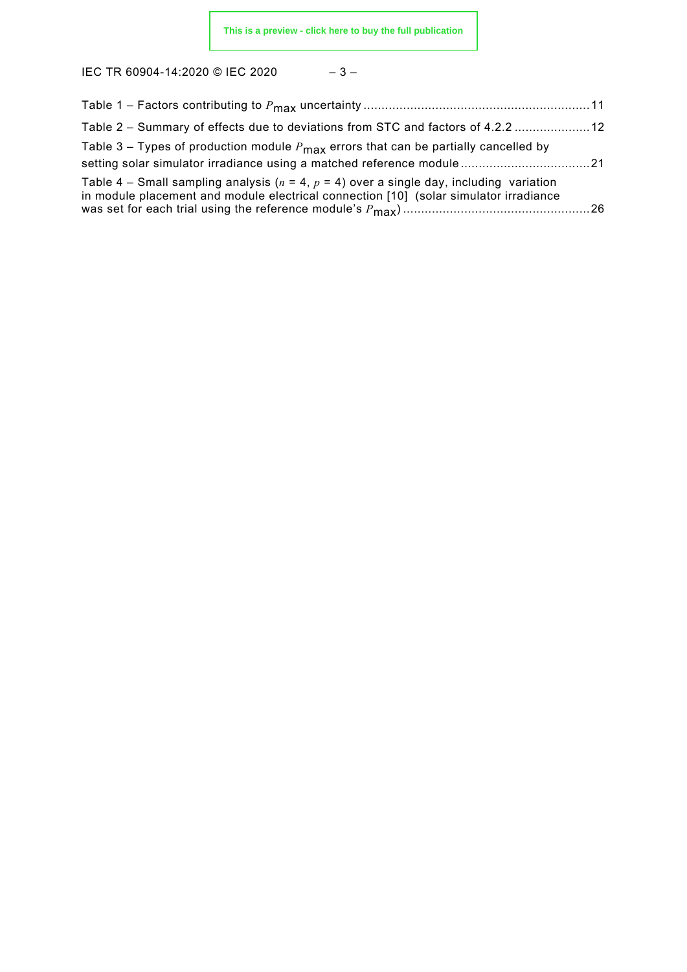IEC TR 60904-14:2020 © IEC 2020 – 3 –

| Table 2 – Summary of effects due to deviations from STC and factors of 4.2.2  12                                                                                                        |  |
|-----------------------------------------------------------------------------------------------------------------------------------------------------------------------------------------|--|
| Table 3 – Types of production module $P_{\text{max}}$ errors that can be partially cancelled by<br>setting solar simulator irradiance using a matched reference module21                |  |
| Table 4 – Small sampling analysis ( $n = 4$ , $p = 4$ ) over a single day, including variation<br>in module placement and module electrical connection [10] (solar simulator irradiance |  |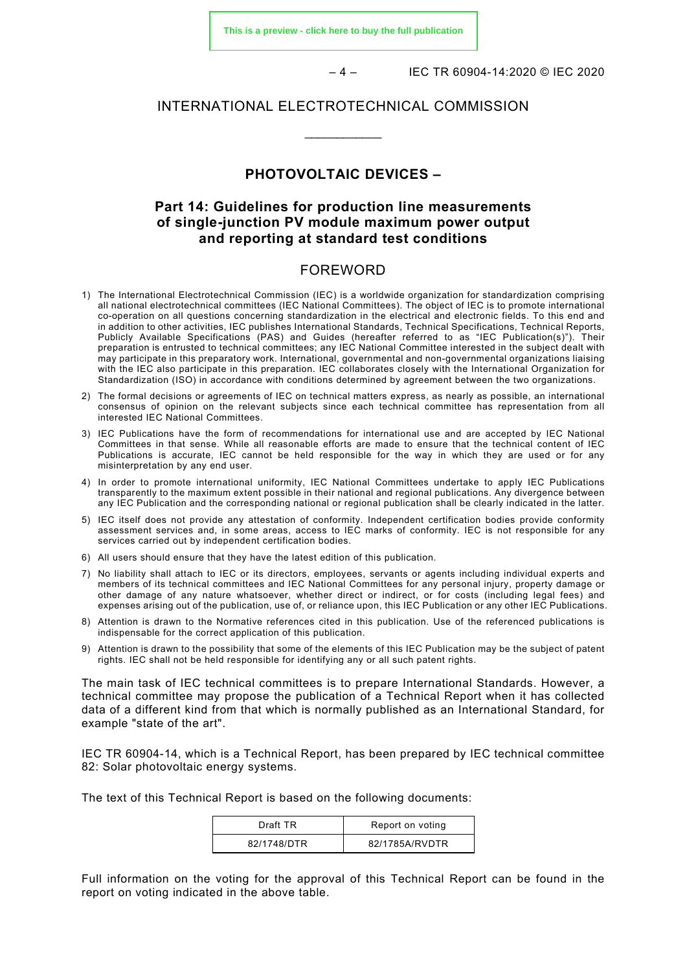**[This is a preview - click here to buy the full publication](https://webstore.iec.ch/publication/67058&preview)**

– 4 – IEC TR 60904-14:2020 © IEC 2020

#### INTERNATIONAL ELECTROTECHNICAL COMMISSION

\_\_\_\_\_\_\_\_\_\_\_\_

# **PHOTOVOLTAIC DEVICES –**

## **Part 14: Guidelines for production line measurements of single-junction PV module maximum power output and reporting at standard test conditions**

#### FOREWORD

- <span id="page-3-0"></span>1) The International Electrotechnical Commission (IEC) is a worldwide organization for standardization comprising all national electrotechnical committees (IEC National Committees). The object of IEC is to promote international co-operation on all questions concerning standardization in the electrical and electronic fields. To this end and in addition to other activities, IEC publishes International Standards, Technical Specifications, Technical Reports, Publicly Available Specifications (PAS) and Guides (hereafter referred to as "IEC Publication(s)"). Their preparation is entrusted to technical committees; any IEC National Committee interested in the subject dealt with may participate in this preparatory work. International, governmental and non-governmental organizations liaising with the IEC also participate in this preparation. IEC collaborates closely with the International Organization for Standardization (ISO) in accordance with conditions determined by agreement between the two organizations.
- 2) The formal decisions or agreements of IEC on technical matters express, as nearly as possible, an international consensus of opinion on the relevant subjects since each technical committee has representation from all interested IEC National Committees.
- 3) IEC Publications have the form of recommendations for international use and are accepted by IEC National Committees in that sense. While all reasonable efforts are made to ensure that the technical content of IEC Publications is accurate, IEC cannot be held responsible for the way in which they are used or for any misinterpretation by any end user.
- 4) In order to promote international uniformity, IEC National Committees undertake to apply IEC Publications transparently to the maximum extent possible in their national and regional publications. Any divergence between any IEC Publication and the corresponding national or regional publication shall be clearly indicated in the latter.
- 5) IEC itself does not provide any attestation of conformity. Independent certification bodies provide conformity assessment services and, in some areas, access to IEC marks of conformity. IEC is not responsible for any services carried out by independent certification bodies.
- 6) All users should ensure that they have the latest edition of this publication.
- 7) No liability shall attach to IEC or its directors, employees, servants or agents including individual experts and members of its technical committees and IEC National Committees for any personal injury, property damage or other damage of any nature whatsoever, whether direct or indirect, or for costs (including legal fees) and expenses arising out of the publication, use of, or reliance upon, this IEC Publication or any other IEC Publications.
- 8) Attention is drawn to the Normative references cited in this publication. Use of the referenced publications is indispensable for the correct application of this publication.
- 9) Attention is drawn to the possibility that some of the elements of this IEC Publication may be the subject of patent rights. IEC shall not be held responsible for identifying any or all such patent rights.

The main task of IEC technical committees is to prepare International Standards. However, a technical committee may propose the publication of a Technical Report when it has collected data of a different kind from that which is normally published as an International Standard, for example "state of the art".

IEC TR 60904-14, which is a Technical Report, has been prepared by IEC technical committee 82: Solar photovoltaic energy systems.

The text of this Technical Report is based on the following documents:

| Draft TR    | Report on voting |
|-------------|------------------|
| 82/1748/DTR | 82/1785A/RVDTR   |

Full information on the voting for the approval of this Technical Report can be found in the report on voting indicated in the above table.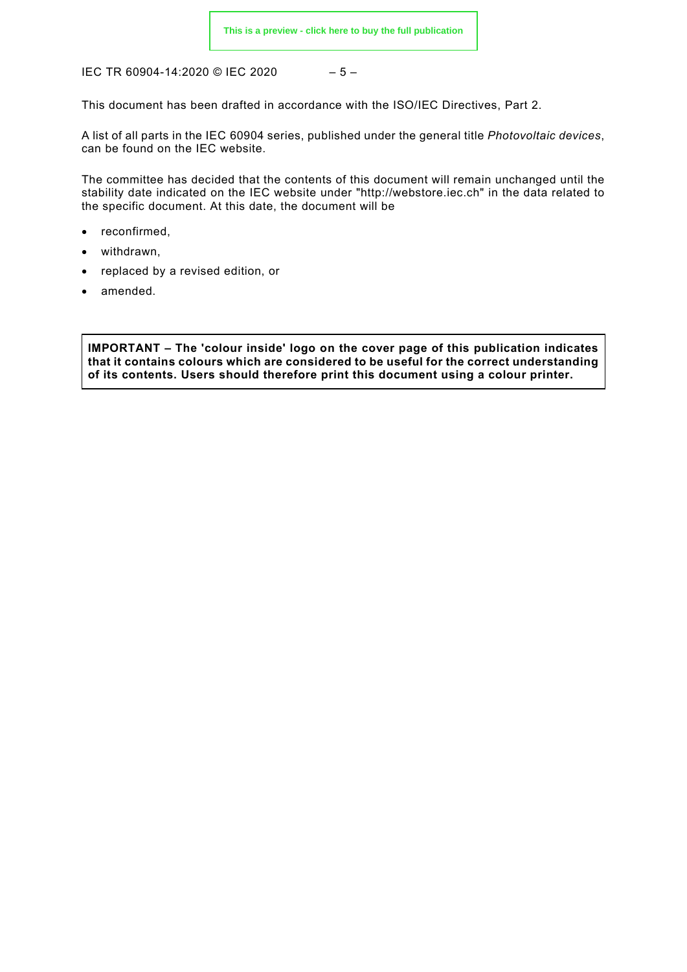IEC TR 60904-14:2020 © IEC 2020 – 5 –

This document has been drafted in accordance with the ISO/IEC Directives, Part 2.

A list of all parts in the IEC 60904 series, published under the general title *Photovoltaic devices*, can be found on the IEC website.

The committee has decided that the contents of this document will remain unchanged until the stability date indicated on the IEC website under "http://webstore.iec.ch" in the data related to the specific document. At this date, the document will be

- reconfirmed,
- withdrawn,
- replaced by a revised edition, or
- amended.

**IMPORTANT – The 'colour inside' logo on the cover page of this publication indicates that it contains colours which are considered to be useful for the correct understanding of its contents. Users should therefore print this document using a colour printer.**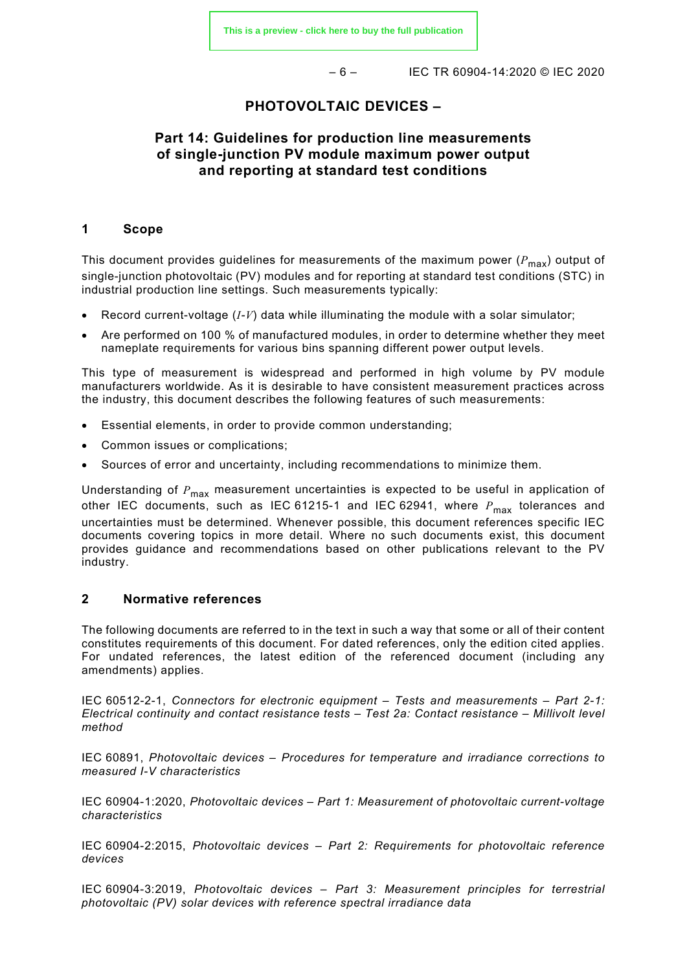– 6 – IEC TR 60904-14:2020 © IEC 2020

### **PHOTOVOLTAIC DEVICES –**

# **Part 14: Guidelines for production line measurements of single-junction PV module maximum power output and reporting at standard test conditions**

#### <span id="page-5-0"></span>**1 Scope**

This document provides guidelines for measurements of the maximum power  $(P_{\text{max}})$  output of single-junction photovoltaic (PV) modules and for reporting at standard test conditions (STC) in industrial production line settings. Such measurements typically:

- Record current-voltage (*I-V*) data while illuminating the module with a solar simulator;
- Are performed on 100 % of manufactured modules, in order to determine whether they meet nameplate requirements for various bins spanning different power output levels.

This type of measurement is widespread and performed in high volume by PV module manufacturers worldwide. As it is desirable to have consistent measurement practices across the industry, this document describes the following features of such measurements:

- Essential elements, in order to provide common understanding;
- Common issues or complications;
- Sources of error and uncertainty, including recommendations to minimize them.

Understanding of  $P_{\text{max}}$  measurement uncertainties is expected to be useful in application of other IEC documents, such as IEC 61215-1 and IEC 62941, where  $P_{\text{max}}$  tolerances and uncertainties must be determined. Whenever possible, this document references specific IEC documents covering topics in more detail. Where no such documents exist, this document provides guidance and recommendations based on other publications relevant to the PV industry.

#### <span id="page-5-1"></span>**2 Normative references**

The following documents are referred to in the text in such a way that some or all of their content constitutes requirements of this document. For dated references, only the edition cited applies. For undated references, the latest edition of the referenced document (including any amendments) applies.

IEC 60512-2-1, *Connectors for electronic equipment – Tests and measurements – Part 2-1: Electrical continuity and contact resistance tests – Test 2a: Contact resistance – Millivolt level method*

IEC 60891, *Photovoltaic devices – Procedures for temperature and irradiance corrections to measured I-V characteristics*

IEC 60904-1:2020, *Photovoltaic devices – Part 1: Measurement of photovoltaic current-voltage characteristics*

IEC 60904-2:2015, *Photovoltaic devices – Part 2: Requirements for photovoltaic reference devices*

IEC 60904-3:2019, *Photovoltaic devices – Part 3: Measurement principles for terrestrial photovoltaic (PV) solar devices with reference spectral irradiance data*